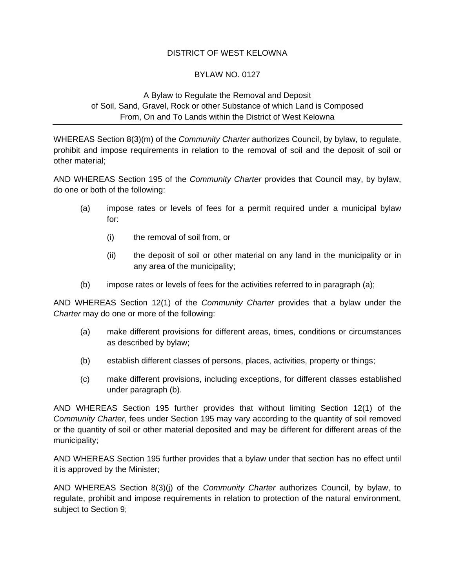# DISTRICT OF WEST KELOWNA

# BYLAW NO. 0127

# A Bylaw to Regulate the Removal and Deposit of Soil, Sand, Gravel, Rock or other Substance of which Land is Composed From, On and To Lands within the District of West Kelowna

WHEREAS Section 8(3)(m) of the *Community Charter* authorizes Council, by bylaw, to regulate, prohibit and impose requirements in relation to the removal of soil and the deposit of soil or other material;

AND WHEREAS Section 195 of the *Community Charter* provides that Council may, by bylaw, do one or both of the following:

- (a) impose rates or levels of fees for a permit required under a municipal bylaw for:
	- (i) the removal of soil from, or
	- (ii) the deposit of soil or other material on any land in the municipality or in any area of the municipality;
- (b) impose rates or levels of fees for the activities referred to in paragraph (a);

AND WHEREAS Section 12(1) of the *Community Charter* provides that a bylaw under the *Charter* may do one or more of the following:

- (a) make different provisions for different areas, times, conditions or circumstances as described by bylaw;
- (b) establish different classes of persons, places, activities, property or things;
- (c) make different provisions, including exceptions, for different classes established under paragraph (b).

AND WHEREAS Section 195 further provides that without limiting Section 12(1) of the *Community Charter*, fees under Section 195 may vary according to the quantity of soil removed or the quantity of soil or other material deposited and may be different for different areas of the municipality;

AND WHEREAS Section 195 further provides that a bylaw under that section has no effect until it is approved by the Minister;

AND WHEREAS Section 8(3)(j) of the *Community Charter* authorizes Council, by bylaw, to regulate, prohibit and impose requirements in relation to protection of the natural environment, subject to Section 9;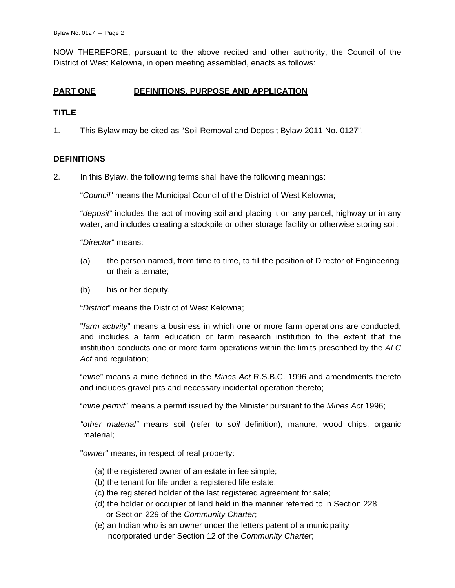NOW THEREFORE, pursuant to the above recited and other authority, the Council of the District of West Kelowna, in open meeting assembled, enacts as follows:

# **PART ONE DEFINITIONS, PURPOSE AND APPLICATION**

# **TITLE**

1. This Bylaw may be cited as "Soil Removal and Deposit Bylaw 2011 No. 0127".

# **DEFINITIONS**

2. In this Bylaw, the following terms shall have the following meanings:

"*Council*" means the Municipal Council of the District of West Kelowna;

"*deposit*" includes the act of moving soil and placing it on any parcel, highway or in any water, and includes creating a stockpile or other storage facility or otherwise storing soil;

"*Director*" means:

- (a) the person named, from time to time, to fill the position of Director of Engineering, or their alternate;
- (b) his or her deputy.

"*District*" means the District of West Kelowna;

"*farm activity*" means a business in which one or more farm operations are conducted, and includes a farm education or farm research institution to the extent that the institution conducts one or more farm operations within the limits prescribed by the *ALC*  Act and regulation;

"*mine*" means a mine defined in the *Mines Act* R.S.B.C. 1996 and amendments thereto and includes gravel pits and necessary incidental operation thereto;

"*mine permit*" means a permit issued by the Minister pursuant to the *Mines Act* 1996;

*"other material"* means soil (refer to *soil* definition), manure, wood chips, organic material;

"*owner*" means, in respect of real property:

- (a) the registered owner of an estate in fee simple;
- (b) the tenant for life under a registered life estate;
- (c) the registered holder of the last registered agreement for sale;
- (d) the holder or occupier of land held in the manner referred to in Section 228 or Section 229 of the *Community Charter*;
- (e) an Indian who is an owner under the letters patent of a municipality incorporated under Section 12 of the *Community Charter*;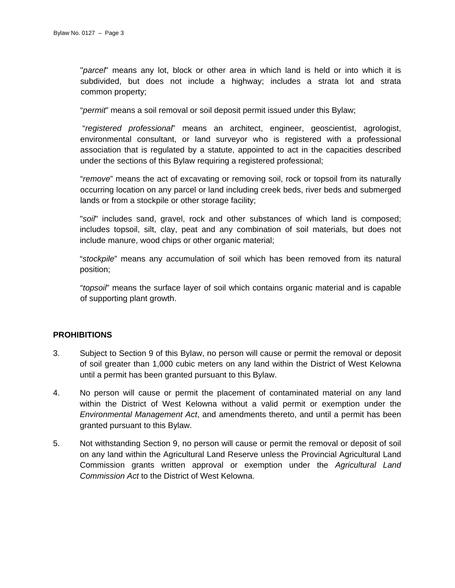"*parcel*" means any lot, block or other area in which land is held or into which it is subdivided, but does not include a highway; includes a strata lot and strata common property;

"*permit*" means a soil removal or soil deposit permit issued under this Bylaw;

 "*registered professional*" means an architect, engineer, geoscientist, agrologist, environmental consultant, or land surveyor who is registered with a professional association that is regulated by a statute, appointed to act in the capacities described under the sections of this Bylaw requiring a registered professional;

"*remove*" means the act of excavating or removing soil, rock or topsoil from its naturally occurring location on any parcel or land including creek beds, river beds and submerged lands or from a stockpile or other storage facility;

"*soil*" includes sand, gravel, rock and other substances of which land is composed; includes topsoil, silt, clay, peat and any combination of soil materials, but does not include manure, wood chips or other organic material;

"*stockpile*" means any accumulation of soil which has been removed from its natural position;

"*topsoil*" means the surface layer of soil which contains organic material and is capable of supporting plant growth.

# **PROHIBITIONS**

- 3. Subject to Section 9 of this Bylaw, no person will cause or permit the removal or deposit of soil greater than 1,000 cubic meters on any land within the District of West Kelowna until a permit has been granted pursuant to this Bylaw.
- 4. No person will cause or permit the placement of contaminated material on any land within the District of West Kelowna without a valid permit or exemption under the *Environmental Management Act*, and amendments thereto, and until a permit has been granted pursuant to this Bylaw.
- 5. Not withstanding Section 9, no person will cause or permit the removal or deposit of soil on any land within the Agricultural Land Reserve unless the Provincial Agricultural Land Commission grants written approval or exemption under the *Agricultural Land Commission Act* to the District of West Kelowna.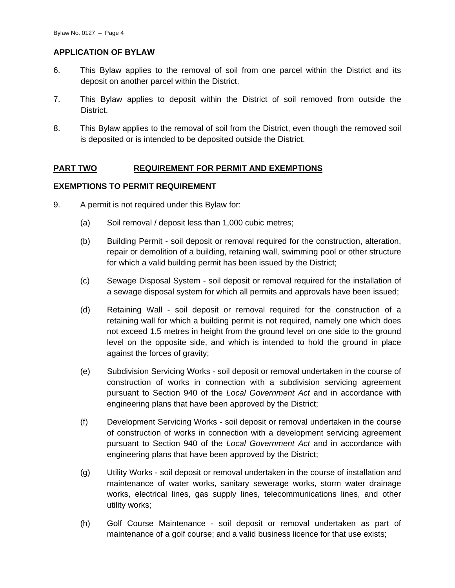# **APPLICATION OF BYLAW**

- 6. This Bylaw applies to the removal of soil from one parcel within the District and its deposit on another parcel within the District.
- 7. This Bylaw applies to deposit within the District of soil removed from outside the District.
- 8. This Bylaw applies to the removal of soil from the District, even though the removed soil is deposited or is intended to be deposited outside the District.

# **PART TWO REQUIREMENT FOR PERMIT AND EXEMPTIONS**

# **EXEMPTIONS TO PERMIT REQUIREMENT**

- 9. A permit is not required under this Bylaw for:
	- (a) Soil removal / deposit less than 1,000 cubic metres;
	- (b) Building Permit soil deposit or removal required for the construction, alteration, repair or demolition of a building, retaining wall, swimming pool or other structure for which a valid building permit has been issued by the District;
	- (c) Sewage Disposal System soil deposit or removal required for the installation of a sewage disposal system for which all permits and approvals have been issued;
	- (d) Retaining Wall soil deposit or removal required for the construction of a retaining wall for which a building permit is not required, namely one which does not exceed 1.5 metres in height from the ground level on one side to the ground level on the opposite side, and which is intended to hold the ground in place against the forces of gravity;
	- (e) Subdivision Servicing Works soil deposit or removal undertaken in the course of construction of works in connection with a subdivision servicing agreement pursuant to Section 940 of the *Local Government Act* and in accordance with engineering plans that have been approved by the District;
	- (f) Development Servicing Works soil deposit or removal undertaken in the course of construction of works in connection with a development servicing agreement pursuant to Section 940 of the *Local Government Act* and in accordance with engineering plans that have been approved by the District;
	- (g) Utility Works soil deposit or removal undertaken in the course of installation and maintenance of water works, sanitary sewerage works, storm water drainage works, electrical lines, gas supply lines, telecommunications lines, and other utility works;
	- (h) Golf Course Maintenance soil deposit or removal undertaken as part of maintenance of a golf course; and a valid business licence for that use exists;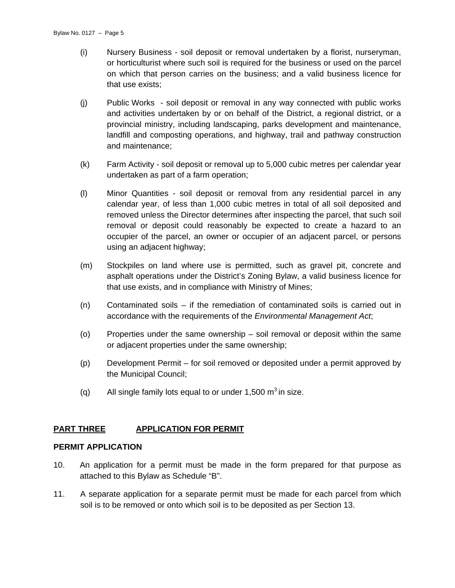- (i) Nursery Business soil deposit or removal undertaken by a florist, nurseryman, or horticulturist where such soil is required for the business or used on the parcel on which that person carries on the business; and a valid business licence for that use exists;
- (j) Public Works soil deposit or removal in any way connected with public works and activities undertaken by or on behalf of the District, a regional district, or a provincial ministry, including landscaping, parks development and maintenance, landfill and composting operations, and highway, trail and pathway construction and maintenance;
- (k) Farm Activity soil deposit or removal up to 5,000 cubic metres per calendar year undertaken as part of a farm operation;
- (l) Minor Quantities soil deposit or removal from any residential parcel in any calendar year, of less than 1,000 cubic metres in total of all soil deposited and removed unless the Director determines after inspecting the parcel, that such soil removal or deposit could reasonably be expected to create a hazard to an occupier of the parcel, an owner or occupier of an adjacent parcel, or persons using an adjacent highway;
- (m) Stockpiles on land where use is permitted, such as gravel pit, concrete and asphalt operations under the District's Zoning Bylaw, a valid business licence for that use exists, and in compliance with Ministry of Mines;
- (n) Contaminated soils if the remediation of contaminated soils is carried out in accordance with the requirements of the *Environmental Management Act*;
- (o) Properties under the same ownership soil removal or deposit within the same or adjacent properties under the same ownership;
- (p) Development Permit for soil removed or deposited under a permit approved by the Municipal Council;
- (q) All single family lots equal to or under 1,500  $m^3$  in size.

# **PART THREE APPLICATION FOR PERMIT**

# **PERMIT APPLICATION**

- 10. An application for a permit must be made in the form prepared for that purpose as attached to this Bylaw as Schedule "B".
- 11. A separate application for a separate permit must be made for each parcel from which soil is to be removed or onto which soil is to be deposited as per Section 13.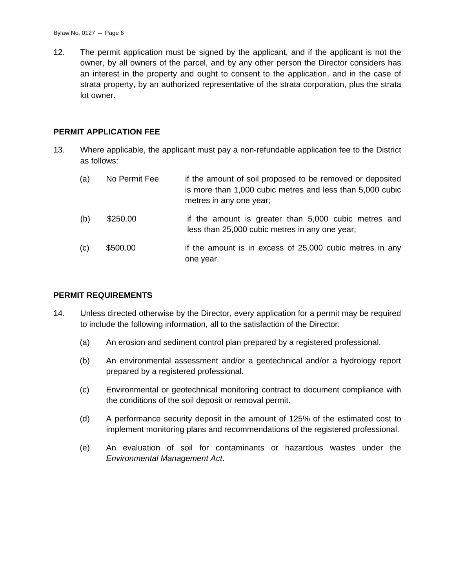12. The permit application must be signed by the applicant, and if the applicant is not the owner, by all owners of the parcel, and by any other person the Director considers has an interest in the property and ought to consent to the application, and in the case of strata property, by an authorized representative of the strata corporation, plus the strata lot owner.

#### **PERMIT APPLICATION FEE**

13. Where applicable, the applicant must pay a non-refundable application fee to the District as follows:

| (a) | No Permit Fee | if the amount of soil proposed to be removed or deposited<br>is more than 1,000 cubic metres and less than 5,000 cubic<br>metres in any one year; |
|-----|---------------|---------------------------------------------------------------------------------------------------------------------------------------------------|
| (b) | \$250.00      | if the amount is greater than 5,000 cubic metres and<br>less than 25,000 cubic metres in any one year;                                            |
| (c) | \$500.00      | if the amount is in excess of 25,000 cubic metres in any<br>one year.                                                                             |

#### **PERMIT REQUIREMENTS**

- 14. Unless directed otherwise by the Director, every application for a permit may be required to include the following information, all to the satisfaction of the Director:
	- (a) An erosion and sediment control plan prepared by a registered professional.
	- (b) An environmental assessment and/or a geotechnical and/or a hydrology report prepared by a registered professional.
	- (c) Environmental or geotechnical monitoring contract to document compliance with the conditions of the soil deposit or removal permit.
	- (d) A performance security deposit in the amount of 125% of the estimated cost to implement monitoring plans and recommendations of the registered professional.
	- (e) An evaluation of soil for contaminants or hazardous wastes under the *Environmental Management Act*.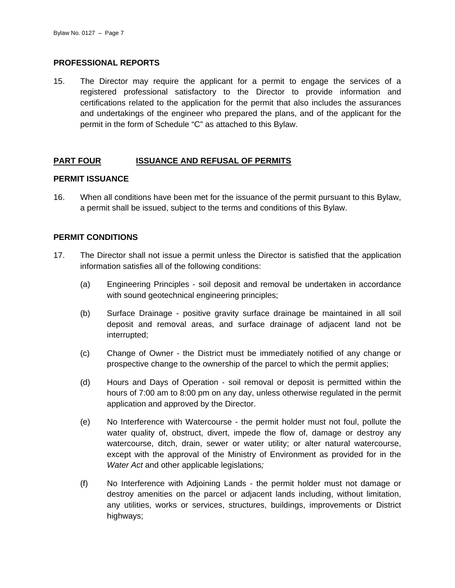# **PROFESSIONAL REPORTS**

15. The Director may require the applicant for a permit to engage the services of a registered professional satisfactory to the Director to provide information and certifications related to the application for the permit that also includes the assurances and undertakings of the engineer who prepared the plans, and of the applicant for the permit in the form of Schedule "C" as attached to this Bylaw.

# **PART FOUR ISSUANCE AND REFUSAL OF PERMITS**

#### **PERMIT ISSUANCE**

16. When all conditions have been met for the issuance of the permit pursuant to this Bylaw, a permit shall be issued, subject to the terms and conditions of this Bylaw.

# **PERMIT CONDITIONS**

- 17. The Director shall not issue a permit unless the Director is satisfied that the application information satisfies all of the following conditions:
	- (a) Engineering Principles soil deposit and removal be undertaken in accordance with sound geotechnical engineering principles;
	- (b) Surface Drainage positive gravity surface drainage be maintained in all soil deposit and removal areas, and surface drainage of adjacent land not be interrupted;
	- (c) Change of Owner the District must be immediately notified of any change or prospective change to the ownership of the parcel to which the permit applies;
	- (d) Hours and Days of Operation soil removal or deposit is permitted within the hours of 7:00 am to 8:00 pm on any day, unless otherwise regulated in the permit application and approved by the Director.
	- (e) No Interference with Watercourse the permit holder must not foul, pollute the water quality of, obstruct, divert, impede the flow of, damage or destroy any watercourse, ditch, drain, sewer or water utility; or alter natural watercourse, except with the approval of the Ministry of Environment as provided for in the *Water Act* and other applicable legislations*;*
	- (f) No Interference with Adjoining Lands the permit holder must not damage or destroy amenities on the parcel or adjacent lands including, without limitation, any utilities, works or services, structures, buildings, improvements or District highways;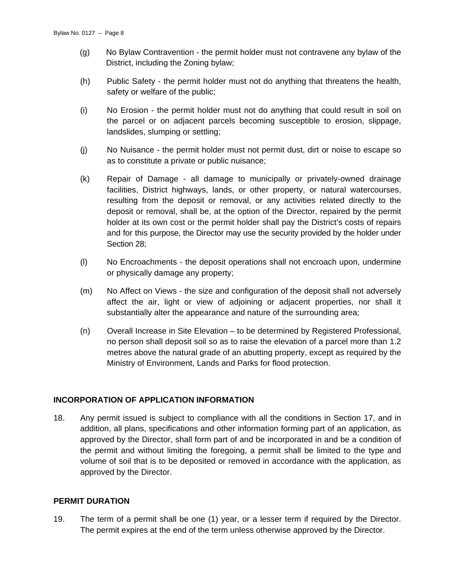- (g) No Bylaw Contravention the permit holder must not contravene any bylaw of the District, including the Zoning bylaw;
- (h) Public Safety the permit holder must not do anything that threatens the health, safety or welfare of the public;
- (i) No Erosion the permit holder must not do anything that could result in soil on the parcel or on adjacent parcels becoming susceptible to erosion, slippage, landslides, slumping or settling;
- (j) No Nuisance the permit holder must not permit dust, dirt or noise to escape so as to constitute a private or public nuisance;
- (k) Repair of Damage all damage to municipally or privately-owned drainage facilities, District highways, lands, or other property, or natural watercourses, resulting from the deposit or removal, or any activities related directly to the deposit or removal, shall be, at the option of the Director, repaired by the permit holder at its own cost or the permit holder shall pay the District's costs of repairs and for this purpose, the Director may use the security provided by the holder under Section 28;
- (l) No Encroachments the deposit operations shall not encroach upon, undermine or physically damage any property;
- (m) No Affect on Views the size and configuration of the deposit shall not adversely affect the air, light or view of adjoining or adjacent properties, nor shall it substantially alter the appearance and nature of the surrounding area;
- (n) Overall Increase in Site Elevation to be determined by Registered Professional, no person shall deposit soil so as to raise the elevation of a parcel more than 1.2 metres above the natural grade of an abutting property, except as required by the Ministry of Environment, Lands and Parks for flood protection.

# **INCORPORATION OF APPLICATION INFORMATION**

18. Any permit issued is subject to compliance with all the conditions in Section 17, and in addition, all plans, specifications and other information forming part of an application, as approved by the Director, shall form part of and be incorporated in and be a condition of the permit and without limiting the foregoing, a permit shall be limited to the type and volume of soil that is to be deposited or removed in accordance with the application, as approved by the Director.

# **PERMIT DURATION**

19. The term of a permit shall be one (1) year, or a lesser term if required by the Director. The permit expires at the end of the term unless otherwise approved by the Director.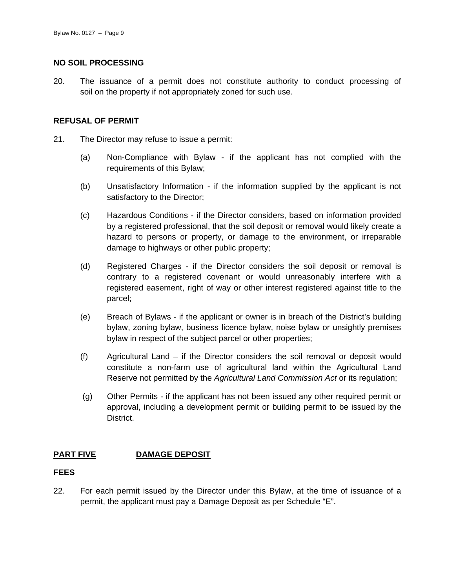#### **NO SOIL PROCESSING**

20. The issuance of a permit does not constitute authority to conduct processing of soil on the property if not appropriately zoned for such use.

# **REFUSAL OF PERMIT**

- 21. The Director may refuse to issue a permit:
	- (a) Non-Compliance with Bylaw if the applicant has not complied with the requirements of this Bylaw;
	- (b) Unsatisfactory Information if the information supplied by the applicant is not satisfactory to the Director;
	- (c) Hazardous Conditions if the Director considers, based on information provided by a registered professional, that the soil deposit or removal would likely create a hazard to persons or property, or damage to the environment, or irreparable damage to highways or other public property;
	- (d) Registered Charges if the Director considers the soil deposit or removal is contrary to a registered covenant or would unreasonably interfere with a registered easement, right of way or other interest registered against title to the parcel;
	- (e) Breach of Bylaws if the applicant or owner is in breach of the District's building bylaw, zoning bylaw, business licence bylaw, noise bylaw or unsightly premises bylaw in respect of the subject parcel or other properties;
	- (f) Agricultural Land if the Director considers the soil removal or deposit would constitute a non-farm use of agricultural land within the Agricultural Land Reserve not permitted by the *Agricultural Land Commission Act* or its regulation;
	- (g) Other Permits if the applicant has not been issued any other required permit or approval, including a development permit or building permit to be issued by the District.

# **PART FIVE DAMAGE DEPOSIT**

#### **FEES**

22. For each permit issued by the Director under this Bylaw, at the time of issuance of a permit, the applicant must pay a Damage Deposit as per Schedule "E".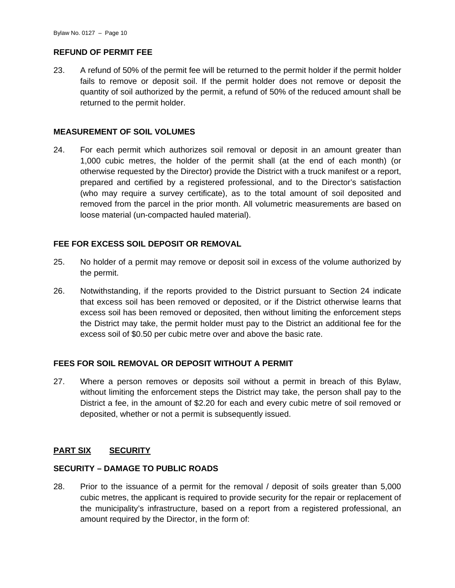# **REFUND OF PERMIT FEE**

23. A refund of 50% of the permit fee will be returned to the permit holder if the permit holder fails to remove or deposit soil. If the permit holder does not remove or deposit the quantity of soil authorized by the permit, a refund of 50% of the reduced amount shall be returned to the permit holder.

# **MEASUREMENT OF SOIL VOLUMES**

24. For each permit which authorizes soil removal or deposit in an amount greater than 1,000 cubic metres, the holder of the permit shall (at the end of each month) (or otherwise requested by the Director) provide the District with a truck manifest or a report, prepared and certified by a registered professional, and to the Director's satisfaction (who may require a survey certificate), as to the total amount of soil deposited and removed from the parcel in the prior month. All volumetric measurements are based on loose material (un-compacted hauled material).

# **FEE FOR EXCESS SOIL DEPOSIT OR REMOVAL**

- 25. No holder of a permit may remove or deposit soil in excess of the volume authorized by the permit.
- 26. Notwithstanding, if the reports provided to the District pursuant to Section 24 indicate that excess soil has been removed or deposited, or if the District otherwise learns that excess soil has been removed or deposited, then without limiting the enforcement steps the District may take, the permit holder must pay to the District an additional fee for the excess soil of \$0.50 per cubic metre over and above the basic rate.

# **FEES FOR SOIL REMOVAL OR DEPOSIT WITHOUT A PERMIT**

27. Where a person removes or deposits soil without a permit in breach of this Bylaw, without limiting the enforcement steps the District may take, the person shall pay to the District a fee, in the amount of \$2.20 for each and every cubic metre of soil removed or deposited, whether or not a permit is subsequently issued.

# **PART SIX SECURITY**

# **SECURITY – DAMAGE TO PUBLIC ROADS**

28. Prior to the issuance of a permit for the removal / deposit of soils greater than 5,000 cubic metres, the applicant is required to provide security for the repair or replacement of the municipality's infrastructure, based on a report from a registered professional, an amount required by the Director, in the form of: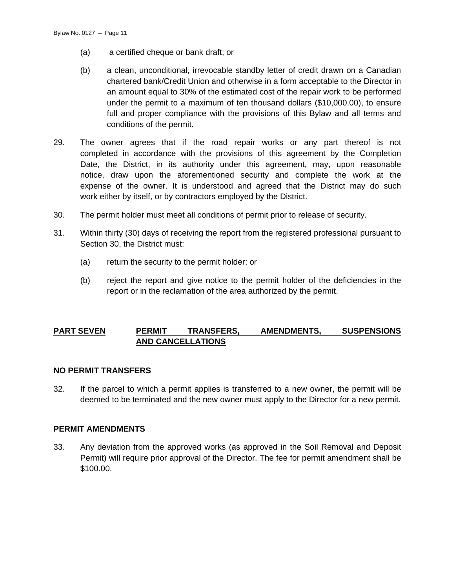- (a) a certified cheque or bank draft; or
- (b) a clean, unconditional, irrevocable standby letter of credit drawn on a Canadian chartered bank/Credit Union and otherwise in a form acceptable to the Director in an amount equal to 30% of the estimated cost of the repair work to be performed under the permit to a maximum of ten thousand dollars (\$10,000.00), to ensure full and proper compliance with the provisions of this Bylaw and all terms and conditions of the permit.
- 29. The owner agrees that if the road repair works or any part thereof is not completed in accordance with the provisions of this agreement by the Completion Date, the District, in its authority under this agreement, may, upon reasonable notice, draw upon the aforementioned security and complete the work at the expense of the owner. It is understood and agreed that the District may do such work either by itself, or by contractors employed by the District.
- 30. The permit holder must meet all conditions of permit prior to release of security.
- 31. Within thirty (30) days of receiving the report from the registered professional pursuant to Section 30, the District must:
	- (a) return the security to the permit holder; or
	- (b) reject the report and give notice to the permit holder of the deficiencies in the report or in the reclamation of the area authorized by the permit.

# **PART SEVEN PERMIT TRANSFERS, AMENDMENTS, SUSPENSIONS AND CANCELLATIONS**

# **NO PERMIT TRANSFERS**

32. If the parcel to which a permit applies is transferred to a new owner, the permit will be deemed to be terminated and the new owner must apply to the Director for a new permit.

# **PERMIT AMENDMENTS**

33. Any deviation from the approved works (as approved in the Soil Removal and Deposit Permit) will require prior approval of the Director. The fee for permit amendment shall be \$100.00.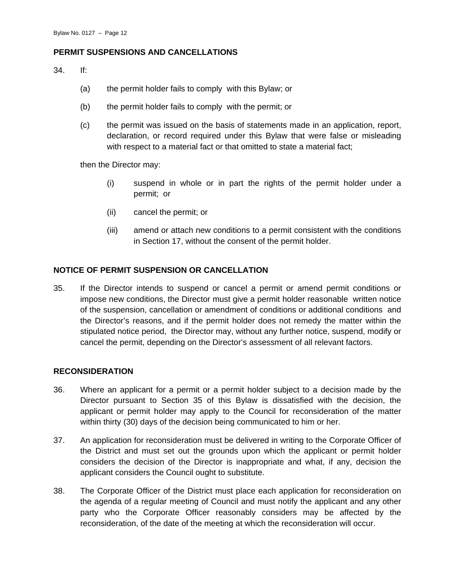# **PERMIT SUSPENSIONS AND CANCELLATIONS**

34. If:

- (a) the permit holder fails to comply with this Bylaw; or
- (b) the permit holder fails to comply with the permit; or
- (c) the permit was issued on the basis of statements made in an application, report, declaration, or record required under this Bylaw that were false or misleading with respect to a material fact or that omitted to state a material fact;

then the Director may:

- (i) suspend in whole or in part the rights of the permit holder under a permit; or
- (ii) cancel the permit; or
- (iii) amend or attach new conditions to a permit consistent with the conditions in Section 17, without the consent of the permit holder.

# **NOTICE OF PERMIT SUSPENSION OR CANCELLATION**

35. If the Director intends to suspend or cancel a permit or amend permit conditions or impose new conditions, the Director must give a permit holder reasonable written notice of the suspension, cancellation or amendment of conditions or additional conditions and the Director's reasons, and if the permit holder does not remedy the matter within the stipulated notice period, the Director may, without any further notice, suspend, modify or cancel the permit, depending on the Director's assessment of all relevant factors.

# **RECONSIDERATION**

- 36. Where an applicant for a permit or a permit holder subject to a decision made by the Director pursuant to Section 35 of this Bylaw is dissatisfied with the decision, the applicant or permit holder may apply to the Council for reconsideration of the matter within thirty (30) days of the decision being communicated to him or her.
- 37. An application for reconsideration must be delivered in writing to the Corporate Officer of the District and must set out the grounds upon which the applicant or permit holder considers the decision of the Director is inappropriate and what, if any, decision the applicant considers the Council ought to substitute.
- 38. The Corporate Officer of the District must place each application for reconsideration on the agenda of a regular meeting of Council and must notify the applicant and any other party who the Corporate Officer reasonably considers may be affected by the reconsideration, of the date of the meeting at which the reconsideration will occur.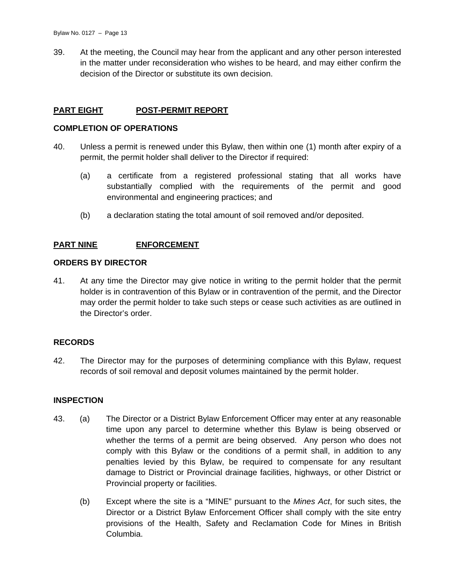39. At the meeting, the Council may hear from the applicant and any other person interested in the matter under reconsideration who wishes to be heard, and may either confirm the decision of the Director or substitute its own decision.

# **PART EIGHT POST-PERMIT REPORT**

#### **COMPLETION OF OPERATIONS**

- 40. Unless a permit is renewed under this Bylaw, then within one (1) month after expiry of a permit, the permit holder shall deliver to the Director if required:
	- (a) a certificate from a registered professional stating that all works have substantially complied with the requirements of the permit and good environmental and engineering practices; and
	- (b) a declaration stating the total amount of soil removed and/or deposited.

# **PART NINE ENFORCEMENT**

# **ORDERS BY DIRECTOR**

41. At any time the Director may give notice in writing to the permit holder that the permit holder is in contravention of this Bylaw or in contravention of the permit, and the Director may order the permit holder to take such steps or cease such activities as are outlined in the Director's order.

# **RECORDS**

42. The Director may for the purposes of determining compliance with this Bylaw, request records of soil removal and deposit volumes maintained by the permit holder.

#### **INSPECTION**

- 43. (a) The Director or a District Bylaw Enforcement Officer may enter at any reasonable time upon any parcel to determine whether this Bylaw is being observed or whether the terms of a permit are being observed. Any person who does not comply with this Bylaw or the conditions of a permit shall, in addition to any penalties levied by this Bylaw, be required to compensate for any resultant damage to District or Provincial drainage facilities, highways, or other District or Provincial property or facilities.
	- (b) Except where the site is a "MINE" pursuant to the *Mines Act*, for such sites, the Director or a District Bylaw Enforcement Officer shall comply with the site entry provisions of the Health, Safety and Reclamation Code for Mines in British Columbia.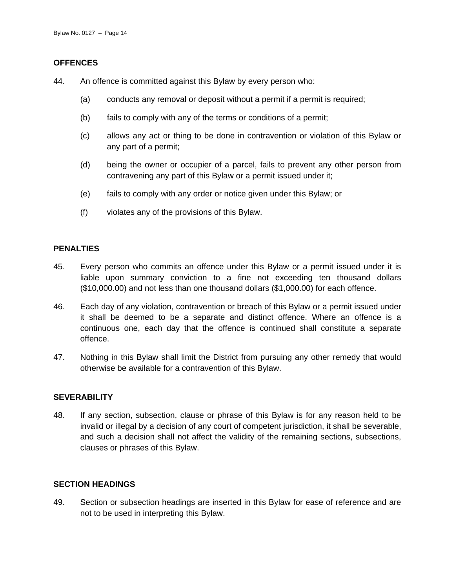# **OFFENCES**

- 44. An offence is committed against this Bylaw by every person who:
	- (a) conducts any removal or deposit without a permit if a permit is required;
	- (b) fails to comply with any of the terms or conditions of a permit;
	- (c) allows any act or thing to be done in contravention or violation of this Bylaw or any part of a permit;
	- (d) being the owner or occupier of a parcel, fails to prevent any other person from contravening any part of this Bylaw or a permit issued under it;
	- (e) fails to comply with any order or notice given under this Bylaw; or
	- (f) violates any of the provisions of this Bylaw.

# **PENALTIES**

- 45. Every person who commits an offence under this Bylaw or a permit issued under it is liable upon summary conviction to a fine not exceeding ten thousand dollars (\$10,000.00) and not less than one thousand dollars (\$1,000.00) for each offence.
- 46. Each day of any violation, contravention or breach of this Bylaw or a permit issued under it shall be deemed to be a separate and distinct offence. Where an offence is a continuous one, each day that the offence is continued shall constitute a separate offence.
- 47. Nothing in this Bylaw shall limit the District from pursuing any other remedy that would otherwise be available for a contravention of this Bylaw.

# **SEVERABILITY**

48. If any section, subsection, clause or phrase of this Bylaw is for any reason held to be invalid or illegal by a decision of any court of competent jurisdiction, it shall be severable, and such a decision shall not affect the validity of the remaining sections, subsections, clauses or phrases of this Bylaw.

# **SECTION HEADINGS**

49. Section or subsection headings are inserted in this Bylaw for ease of reference and are not to be used in interpreting this Bylaw.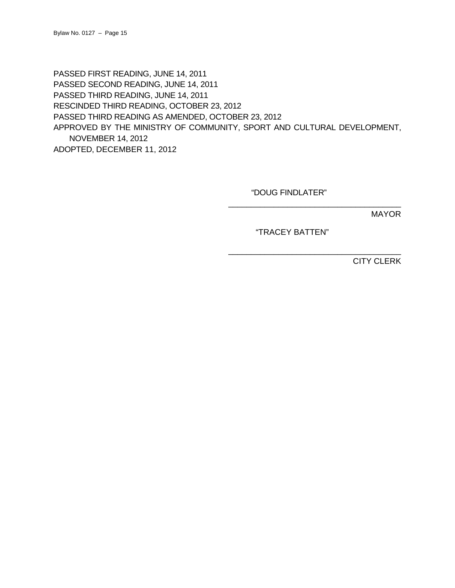PASSED FIRST READING, JUNE 14, 2011 PASSED SECOND READING, JUNE 14, 2011 PASSED THIRD READING, JUNE 14, 2011 RESCINDED THIRD READING, OCTOBER 23, 2012 PASSED THIRD READING AS AMENDED, OCTOBER 23, 2012 APPROVED BY THE MINISTRY OF COMMUNITY, SPORT AND CULTURAL DEVELOPMENT, NOVEMBER 14, 2012 ADOPTED, DECEMBER 11, 2012

"DOUG FINDLATER"

MAYOR

"TRACEY BATTEN"

\_\_\_\_\_\_\_\_\_\_\_\_\_\_\_\_\_\_\_\_\_\_\_\_\_\_\_\_\_\_\_\_\_\_\_\_\_\_

\_\_\_\_\_\_\_\_\_\_\_\_\_\_\_\_\_\_\_\_\_\_\_\_\_\_\_\_\_\_\_\_\_\_\_\_\_\_

CITY CLERK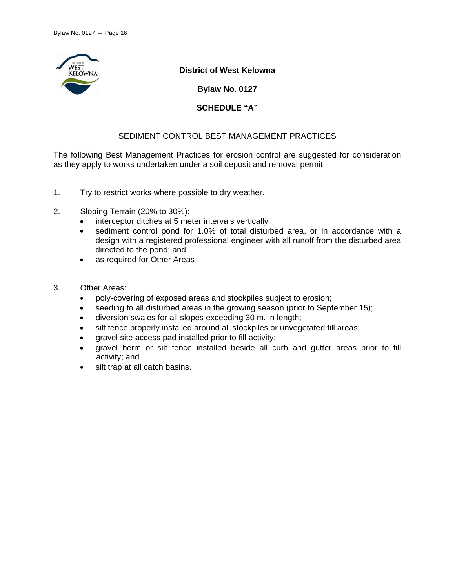

**District of West Kelowna** 

**Bylaw No. 0127** 

**SCHEDULE "A"** 

# SEDIMENT CONTROL BEST MANAGEMENT PRACTICES

The following Best Management Practices for erosion control are suggested for consideration as they apply to works undertaken under a soil deposit and removal permit:

- 1. Try to restrict works where possible to dry weather.
- 2. Sloping Terrain (20% to 30%):
	- interceptor ditches at 5 meter intervals vertically
	- sediment control pond for 1.0% of total disturbed area, or in accordance with a design with a registered professional engineer with all runoff from the disturbed area directed to the pond; and
	- as required for Other Areas
- 3. Other Areas:
	- poly-covering of exposed areas and stockpiles subject to erosion;
	- seeding to all disturbed areas in the growing season (prior to September 15);
	- diversion swales for all slopes exceeding 30 m. in length;
	- silt fence properly installed around all stockpiles or unvegetated fill areas;
	- gravel site access pad installed prior to fill activity;
	- gravel berm or silt fence installed beside all curb and gutter areas prior to fill activity; and
	- silt trap at all catch basins.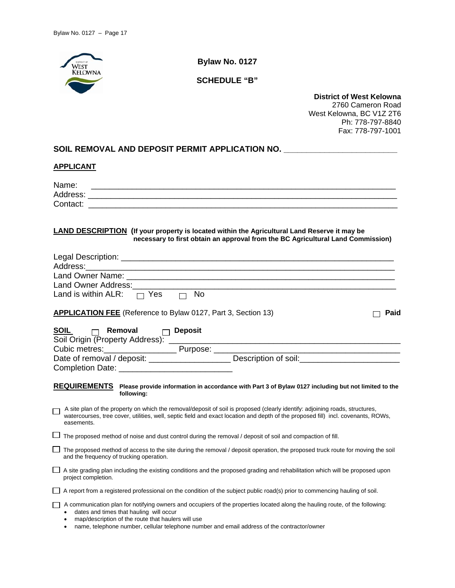

**Bylaw No. 0127** 

**SCHEDULE "B"** 

**District of West Kelowna**  2760 Cameron Road West Kelowna, BC V1Z 2T6 Ph: 778-797-8840 Fax: 778-797-1001

# SOIL REMOVAL AND DEPOSIT PERMIT APPLICATION NO. \_\_\_\_\_\_\_\_\_\_\_\_\_\_\_\_\_\_\_\_\_\_\_\_\_\_\_\_\_\_\_\_

#### **APPLICANT**

| Name:<br><u> 1980 - Johann Barn, fransk politik (f. 1980)</u>                                                                                                                                                                                                                   |
|---------------------------------------------------------------------------------------------------------------------------------------------------------------------------------------------------------------------------------------------------------------------------------|
|                                                                                                                                                                                                                                                                                 |
|                                                                                                                                                                                                                                                                                 |
| LAND DESCRIPTION (If your property is located within the Agricultural Land Reserve it may be<br>necessary to first obtain an approval from the BC Agricultural Land Commission)                                                                                                 |
| Address: Address: Address: Address: Address: Address: Address: Address: Address: Address: Address: Address: Address: Address: Address: Address: Address: Address: Address: Address: Address: Address: Address: Address: Addres                                                  |
|                                                                                                                                                                                                                                                                                 |
|                                                                                                                                                                                                                                                                                 |
| Land is within ALR: $\Box$ Yes $\Box$ No                                                                                                                                                                                                                                        |
| <b>APPLICATION FEE</b> (Reference to Bylaw 0127, Part 3, Section 13)<br>Paid                                                                                                                                                                                                    |
|                                                                                                                                                                                                                                                                                 |
| Date of removal / deposit: ________________________ Description of soil: __________________________                                                                                                                                                                             |
|                                                                                                                                                                                                                                                                                 |
| REQUIREMENTS Please provide information in accordance with Part 3 of Bylaw 0127 including but not limited to the<br>following:                                                                                                                                                  |
| A site plan of the property on which the removal/deposit of soil is proposed (clearly identify: adjoining roads, structures,<br>watercourses, tree cover, utilities, well, septic field and exact location and depth of the proposed fill) incl. covenants, ROWs,<br>easements. |
| The proposed method of noise and dust control during the removal / deposit of soil and compaction of fill.                                                                                                                                                                      |
| The proposed method of access to the site during the removal / deposit operation, the proposed truck route for moving the soil<br>and the frequency of trucking operation.                                                                                                      |
| A site grading plan including the existing conditions and the proposed grading and rehabilitation which will be proposed upon<br>project completion.                                                                                                                            |
| A report from a registered professional on the condition of the subject public road(s) prior to commencing hauling of soil.                                                                                                                                                     |
| A communication plan for notifying owners and occupiers of the properties located along the hauling route, of the following:<br>dates and times that hauling will occur<br>map/description of the route that haulers will use                                                   |

name, telephone number, cellular telephone number and email address of the contractor/owner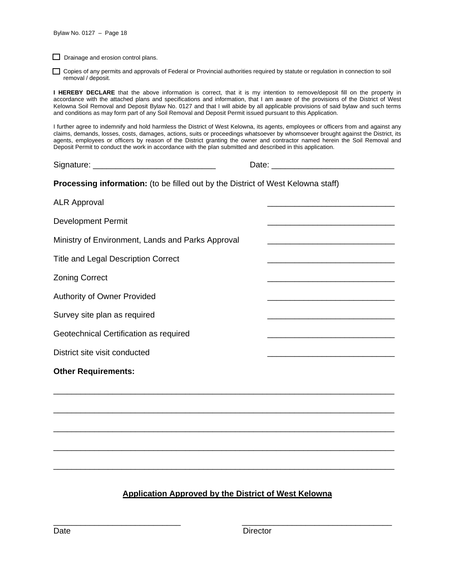$\Box$  Drainage and erosion control plans.

 Copies of any permits and approvals of Federal or Provincial authorities required by statute or regulation in connection to soil removal / deposit.

**I HEREBY DECLARE** that the above information is correct, that it is my intention to remove/deposit fill on the property in accordance with the attached plans and specifications and information, that I am aware of the provisions of the District of West Kelowna Soil Removal and Deposit Bylaw No. 0127 and that I will abide by all applicable provisions of said bylaw and such terms and conditions as may form part of any Soil Removal and Deposit Permit issued pursuant to this Application.

I further agree to indemnify and hold harmless the District of West Kelowna, its agents, employees or officers from and against any claims, demands, losses, costs, damages, actions, suits or proceedings whatsoever by whomsoever brought against the District, its agents, employees or officers by reason of the District granting the owner and contractor named herein the Soil Removal and Deposit Permit to conduct the work in accordance with the plan submitted and described in this application.

Signature: \_\_\_\_\_\_\_\_\_\_\_\_\_\_\_\_\_\_\_\_\_\_\_\_\_\_\_ Date: \_\_\_\_\_\_\_\_\_\_\_\_\_\_\_\_\_\_\_\_\_\_\_\_\_\_\_

**Processing information:** (to be filled out by the District of West Kelowna staff)

| <b>ALR Approval</b>                               |  |
|---------------------------------------------------|--|
| Development Permit                                |  |
| Ministry of Environment, Lands and Parks Approval |  |
| <b>Title and Legal Description Correct</b>        |  |
| <b>Zoning Correct</b>                             |  |
| Authority of Owner Provided                       |  |
| Survey site plan as required                      |  |
| Geotechnical Certification as required            |  |
| District site visit conducted                     |  |
| <b>Other Requirements:</b>                        |  |
|                                                   |  |
|                                                   |  |
|                                                   |  |
|                                                   |  |
|                                                   |  |
|                                                   |  |

# **Application Approved by the District of West Kelowna**

\_\_\_\_\_\_\_\_\_\_\_\_\_\_\_\_\_\_\_\_\_\_\_\_\_\_\_\_ \_\_\_\_\_\_\_\_\_\_\_\_\_\_\_\_\_\_\_\_\_\_\_\_\_\_\_\_\_\_\_\_\_

Date **Director**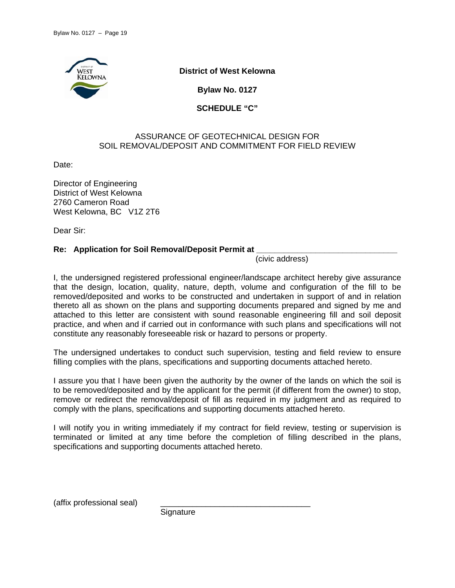

**District of West Kelowna** 

**Bylaw No. 0127** 

**SCHEDULE "C"** 

# ASSURANCE OF GEOTECHNICAL DESIGN FOR SOIL REMOVAL/DEPOSIT AND COMMITMENT FOR FIELD REVIEW

Date:

Director of Engineering District of West Kelowna 2760 Cameron Road West Kelowna, BC V1Z 2T6

Dear Sir:

# **Re: Application for Soil Removal/Deposit Permit at**

(civic address)

I, the undersigned registered professional engineer/landscape architect hereby give assurance that the design, location, quality, nature, depth, volume and configuration of the fill to be removed/deposited and works to be constructed and undertaken in support of and in relation thereto all as shown on the plans and supporting documents prepared and signed by me and attached to this letter are consistent with sound reasonable engineering fill and soil deposit practice, and when and if carried out in conformance with such plans and specifications will not constitute any reasonably foreseeable risk or hazard to persons or property.

The undersigned undertakes to conduct such supervision, testing and field review to ensure filling complies with the plans, specifications and supporting documents attached hereto.

I assure you that I have been given the authority by the owner of the lands on which the soil is to be removed/deposited and by the applicant for the permit (if different from the owner) to stop, remove or redirect the removal/deposit of fill as required in my judgment and as required to comply with the plans, specifications and supporting documents attached hereto.

I will notify you in writing immediately if my contract for field review, testing or supervision is terminated or limited at any time before the completion of filling described in the plans, specifications and supporting documents attached hereto.

(affix professional seal)

**Signature**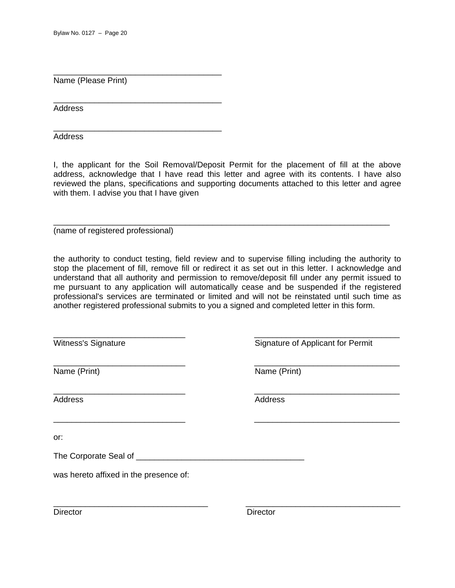Name (Please Print)

\_\_\_\_\_\_\_\_\_\_\_\_\_\_\_\_\_\_\_\_\_\_\_\_\_\_\_\_\_\_\_\_\_\_\_\_\_

\_\_\_\_\_\_\_\_\_\_\_\_\_\_\_\_\_\_\_\_\_\_\_\_\_\_\_\_\_\_\_\_\_\_\_\_\_

\_\_\_\_\_\_\_\_\_\_\_\_\_\_\_\_\_\_\_\_\_\_\_\_\_\_\_\_\_\_\_\_\_\_\_\_\_

Address

**Address** 

I, the applicant for the Soil Removal/Deposit Permit for the placement of fill at the above address, acknowledge that I have read this letter and agree with its contents. I have also reviewed the plans, specifications and supporting documents attached to this letter and agree with them. I advise you that I have given

\_\_\_\_\_\_\_\_\_\_\_\_\_\_\_\_\_\_\_\_\_\_\_\_\_\_\_\_\_\_\_\_\_\_\_\_\_\_\_\_\_\_\_\_\_\_\_\_\_\_\_\_\_\_\_\_\_\_\_\_\_\_\_\_\_\_\_\_\_\_\_\_\_\_

(name of registered professional)

the authority to conduct testing, field review and to supervise filling including the authority to stop the placement of fill, remove fill or redirect it as set out in this letter. I acknowledge and understand that all authority and permission to remove/deposit fill under any permit issued to me pursuant to any application will automatically cease and be suspended if the registered professional's services are terminated or limited and will not be reinstated until such time as another registered professional submits to you a signed and completed letter in this form.

| Witness's Signature                    | Signature of Applicant for Permit |
|----------------------------------------|-----------------------------------|
| Name (Print)                           | Name (Print)                      |
| <b>Address</b>                         | <b>Address</b>                    |
| or:                                    |                                   |
| The Corporate Seal of ____             |                                   |
| was hereto affixed in the presence of: |                                   |
| <b>Director</b>                        | <b>Director</b>                   |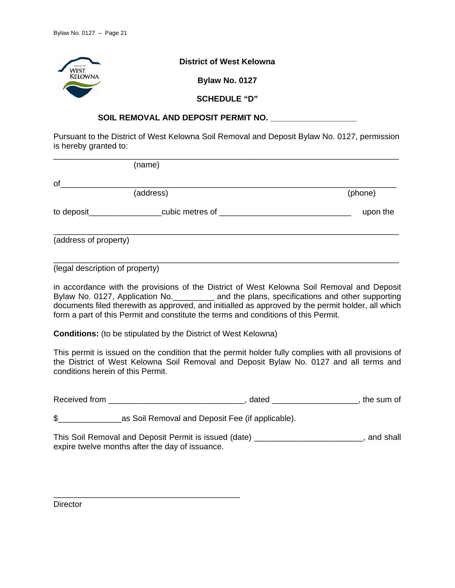

# SOIL REMOVAL AND DEPOSIT PERMIT NO.

Pursuant to the District of West Kelowna Soil Removal and Deposit Bylaw No. 0127, permission is hereby granted to:

|                       | (name)          |          |
|-----------------------|-----------------|----------|
| of                    |                 |          |
| (address)             |                 | (phone)  |
| to deposit_           | cubic metres of | upon the |
| (address of property) |                 |          |

(legal description of property)

in accordance with the provisions of the District of West Kelowna Soil Removal and Deposit Bylaw No. 0127, Application No.\_\_\_\_\_\_\_\_\_ and the plans, specifications and other supporting documents filed therewith as approved, and initialled as approved by the permit holder, all which form a part of this Permit and constitute the terms and conditions of this Permit.

\_\_\_\_\_\_\_\_\_\_\_\_\_\_\_\_\_\_\_\_\_\_\_\_\_\_\_\_\_\_\_\_\_\_\_\_\_\_\_\_\_\_\_\_\_\_\_\_\_\_\_\_\_\_\_\_\_\_\_\_\_\_\_\_\_\_\_\_\_\_\_\_\_\_\_\_

**Conditions:** (to be stipulated by the District of West Kelowna)

This permit is issued on the condition that the permit holder fully complies with all provisions of the District of West Kelowna Soil Removal and Deposit Bylaw No. 0127 and all terms and conditions herein of this Permit.

Received from \_\_\_\_\_\_\_\_\_\_\_\_\_\_\_\_\_\_\_\_\_\_\_\_\_\_\_\_\_\_, dated \_\_\_\_\_\_\_\_\_\_\_\_\_\_\_\_\_\_\_, the sum of

\$ as Soil Removal and Deposit Fee (if applicable).

\_\_\_\_\_\_\_\_\_\_\_\_\_\_\_\_\_\_\_\_\_\_\_\_\_\_\_\_\_\_\_\_\_\_\_\_\_\_\_\_\_

This Soil Removal and Deposit Permit is issued (date) \_\_\_\_\_\_\_\_\_\_\_\_\_\_\_\_\_\_\_\_\_\_\_\_, and shall expire twelve months after the day of issuance.

**Director**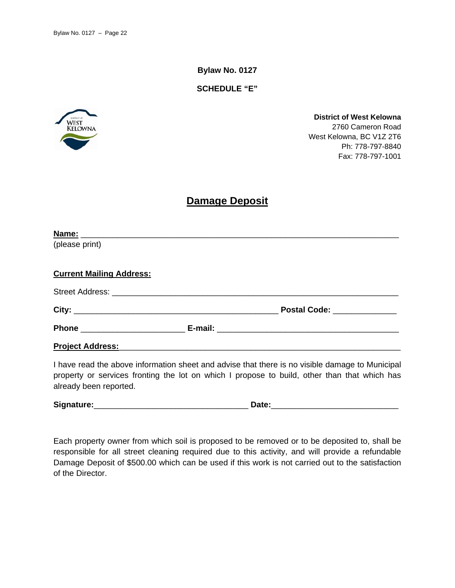**Bylaw No. 0127** 

**SCHEDULE "E"** 



**District of West Kelowna**  2760 Cameron Road West Kelowna, BC V1Z 2T6 Ph: 778-797-8840 Fax: 778-797-1001

# **Damage Deposit**

| Postal Code: ______________ |
|-----------------------------|
|                             |
|                             |
|                             |

I have read the above information sheet and advise that there is no visible damage to Municipal property or services fronting the lot on which I propose to build, other than that which has already been reported.

**Signature:**\_\_\_\_\_\_\_\_\_\_\_\_\_\_\_\_\_\_\_\_\_\_\_\_\_\_\_\_\_\_\_\_\_\_ **Date:**\_\_\_\_\_\_\_\_\_\_\_\_\_\_\_\_\_\_\_\_\_\_\_\_\_\_\_\_

Each property owner from which soil is proposed to be removed or to be deposited to, shall be responsible for all street cleaning required due to this activity, and will provide a refundable Damage Deposit of \$500.00 which can be used if this work is not carried out to the satisfaction of the Director.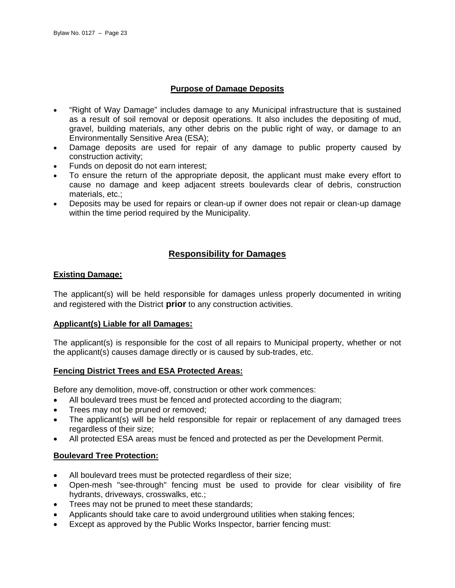# **Purpose of Damage Deposits**

- "Right of Way Damage" includes damage to any Municipal infrastructure that is sustained as a result of soil removal or deposit operations. It also includes the depositing of mud, gravel, building materials, any other debris on the public right of way, or damage to an Environmentally Sensitive Area (ESA);
- Damage deposits are used for repair of any damage to public property caused by construction activity;
- Funds on deposit do not earn interest;
- To ensure the return of the appropriate deposit, the applicant must make every effort to cause no damage and keep adjacent streets boulevards clear of debris, construction materials, etc.;
- Deposits may be used for repairs or clean-up if owner does not repair or clean-up damage within the time period required by the Municipality.

# **Responsibility for Damages**

# **Existing Damage:**

The applicant(s) will be held responsible for damages unless properly documented in writing and registered with the District **prior** to any construction activities.

# **Applicant(s) Liable for all Damages:**

The applicant(s) is responsible for the cost of all repairs to Municipal property, whether or not the applicant(s) causes damage directly or is caused by sub-trades, etc.

# **Fencing District Trees and ESA Protected Areas:**

Before any demolition, move-off, construction or other work commences:

- All boulevard trees must be fenced and protected according to the diagram;
- Trees may not be pruned or removed;
- The applicant(s) will be held responsible for repair or replacement of any damaged trees regardless of their size;
- All protected ESA areas must be fenced and protected as per the Development Permit.

# **Boulevard Tree Protection:**

- All boulevard trees must be protected regardless of their size;
- Open-mesh "see-through" fencing must be used to provide for clear visibility of fire hydrants, driveways, crosswalks, etc.;
- Trees may not be pruned to meet these standards;
- Applicants should take care to avoid underground utilities when staking fences;
- Except as approved by the Public Works Inspector, barrier fencing must: